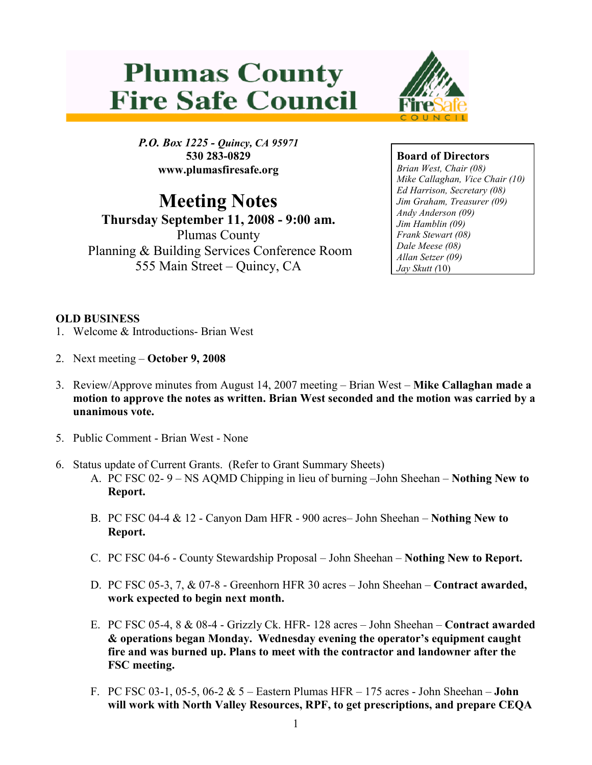# **Plumas County Fire Safe Council**



P.O. Box 1225 - Quincy, CA 95971 530 283-0829 www.plumasfiresafe.org

## Meeting Notes

Thursday September 11, 2008 - 9:00 am. Plumas County Planning & Building Services Conference Room 555 Main Street – Quincy, CA

### Board of Directors

Brian West, Chair (08) Mike Callaghan, Vice Chair (10) Ed Harrison, Secretary (08) Jim Graham, Treasurer (09) Andy Anderson (09) Jim Hamblin (09) Frank Stewart (08) Dale Meese (08) Allan Setzer (09) Jay Skutt (10)

### OLD BUSINESS

- 1. Welcome & Introductions- Brian West
- 2. Next meeting October 9, 2008
- 3. Review/Approve minutes from August 14, 2007 meeting Brian West Mike Callaghan made a motion to approve the notes as written. Brian West seconded and the motion was carried by a unanimous vote.
- 5. Public Comment Brian West None
- 6. Status update of Current Grants. (Refer to Grant Summary Sheets)
	- A. PC FSC 02- 9 NS AQMD Chipping in lieu of burning –John Sheehan Nothing New to Report.
	- B. PC FSC 04-4 & 12 Canyon Dam HFR 900 acres– John Sheehan Nothing New to Report.
	- C. PC FSC 04-6 County Stewardship Proposal John Sheehan Nothing New to Report.
	- D. PC FSC 05-3, 7, & 07-8 Greenhorn HFR 30 acres John Sheehan Contract awarded, work expected to begin next month.
	- E. PC FSC 05-4, 8 & 08-4 Grizzly Ck. HFR- 128 acres John Sheehan Contract awarded & operations began Monday. Wednesday evening the operator's equipment caught fire and was burned up. Plans to meet with the contractor and landowner after the FSC meeting.
	- F. PC FSC 03-1, 05-5, 06-2  $& 5$  Eastern Plumas HFR 175 acres John Sheehan **John** will work with North Valley Resources, RPF, to get prescriptions, and prepare CEQA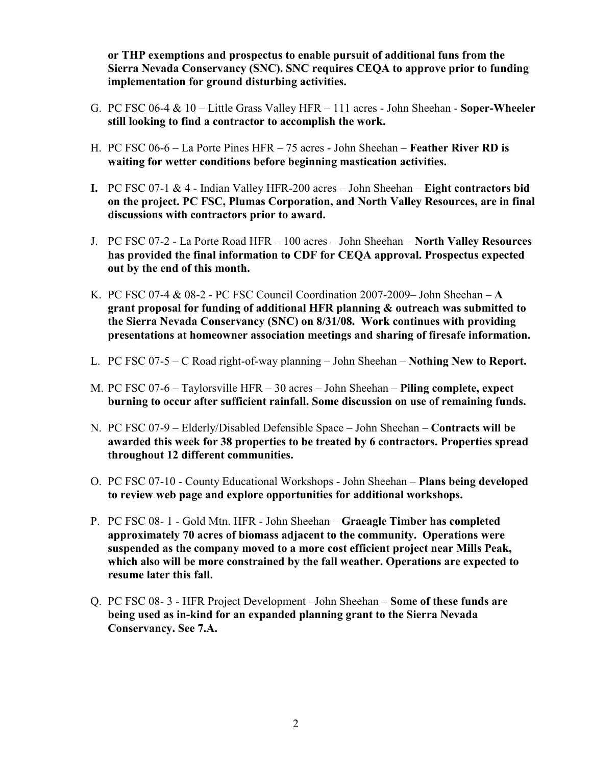or THP exemptions and prospectus to enable pursuit of additional funs from the Sierra Nevada Conservancy (SNC). SNC requires CEQA to approve prior to funding implementation for ground disturbing activities.

- G. PC FSC 06-4 & 10 Little Grass Valley HFR 111 acres John Sheehan Soper-Wheeler still looking to find a contractor to accomplish the work.
- H. PC FSC 06-6 La Porte Pines HFR 75 acres John Sheehan Feather River RD is waiting for wetter conditions before beginning mastication activities.
- I. PC FSC 07-1  $\&$  4 Indian Valley HFR-200 acres John Sheehan Eight contractors bid on the project. PC FSC, Plumas Corporation, and North Valley Resources, are in final discussions with contractors prior to award.
- J. PC FSC 07-2 La Porte Road HFR 100 acres John Sheehan North Valley Resources has provided the final information to CDF for CEQA approval. Prospectus expected out by the end of this month.
- K. PC FSC 07-4 & 08-2 PC FSC Council Coordination 2007-2009– John Sheehan  $A$ grant proposal for funding of additional HFR planning & outreach was submitted to the Sierra Nevada Conservancy (SNC) on 8/31/08. Work continues with providing presentations at homeowner association meetings and sharing of firesafe information.
- L. PC FSC 07-5 C Road right-of-way planning John Sheehan Nothing New to Report.
- M. PC FSC 07-6 Taylorsville HFR 30 acres John Sheehan Piling complete, expect burning to occur after sufficient rainfall. Some discussion on use of remaining funds.
- N. PC FSC 07-9 Elderly/Disabled Defensible Space John Sheehan Contracts will be awarded this week for 38 properties to be treated by 6 contractors. Properties spread throughout 12 different communities.
- O. PC FSC 07-10 County Educational Workshops John Sheehan Plans being developed to review web page and explore opportunities for additional workshops.
- P. PC FSC 08- 1 Gold Mtn. HFR John Sheehan Graeagle Timber has completed approximately 70 acres of biomass adjacent to the community. Operations were suspended as the company moved to a more cost efficient project near Mills Peak, which also will be more constrained by the fall weather. Operations are expected to resume later this fall.
- Q. PC FSC 08- 3 HFR Project Development –John Sheehan Some of these funds are being used as in-kind for an expanded planning grant to the Sierra Nevada Conservancy. See 7.A.